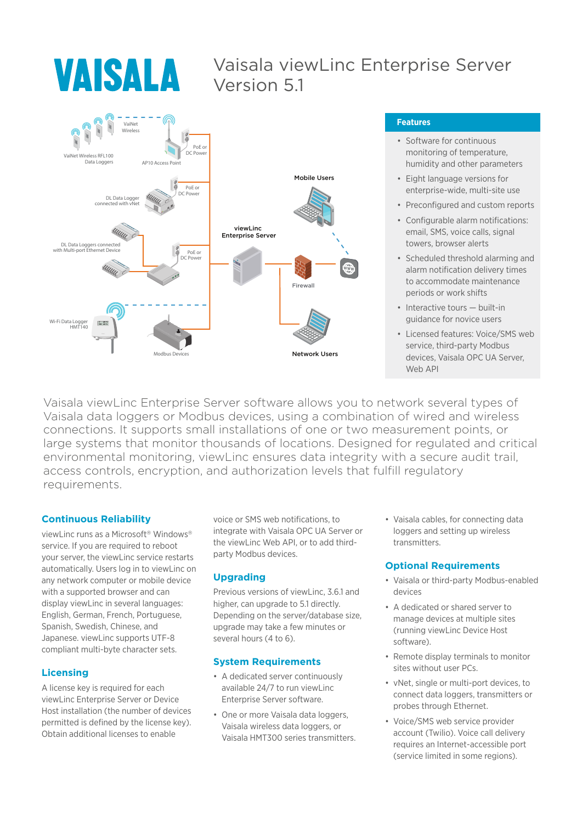# **VAISALA**

### Vaisala viewLinc Enterprise Server Version 5.1



### **Features**

- Software for continuous monitoring of temperature, humidity and other parameters
- Eight language versions for enterprise-wide, multi-site use
- Preconfigured and custom reports
- Configurable alarm notifications: email, SMS, voice calls, signal towers, browser alerts
- Scheduled threshold alarming and alarm notification delivery times to accommodate maintenance periods or work shifts
- Interactive tours built-in guidance for novice users
- Licensed features: Voice/SMS web service, third-party Modbus devices, Vaisala OPC UA Server, Web API

Vaisala viewLinc Enterprise Server software allows you to network several types of Vaisala data loggers or Modbus devices, using a combination of wired and wireless connections. It supports small installations of one or two measurement points, or large systems that monitor thousands of locations. Designed for regulated and critical environmental monitoring, viewLinc ensures data integrity with a secure audit trail, access controls, encryption, and authorization levels that fulfill regulatory requirements.

### **Continuous Reliability**

viewLinc runs as a Microsoft<sup>®</sup> Windows<sup>®</sup> service. If you are required to reboot your server, the viewLinc service restarts automatically. Users log in to viewLinc on any network computer or mobile device with a supported browser and can display viewLinc in several languages: English, German, French, Portuguese, Spanish, Swedish, Chinese, and Japanese. viewLinc supports UTF-8 compliant multi-byte character sets.

### **Licensing**

A license key is required for each viewLinc Enterprise Server or Device Host installation (the number of devices permitted is defined by the license key). Obtain additional licenses to enable

voice or SMS web notifications, to integrate with Vaisala OPC UA Server or the viewLinc Web API, or to add thirdparty Modbus devices.

### **Upgrading**

Previous versions of viewLinc, 3.6.1 and higher, can upgrade to 5.1 directly. Depending on the server/database size, upgrade may take a few minutes or several hours (4 to 6).

### **System Requirements**

- A dedicated server continuously available 24/7 to run viewLinc Enterprise Server software.
- One or more Vaisala data loggers, Vaisala wireless data loggers, or Vaisala HMT300 series transmitters.

• Vaisala cables, for connecting data loggers and setting up wireless transmitters.

### **Optional Requirements**

- Vaisala or third-party Modbus-enabled devices
- A dedicated or shared server to manage devices at multiple sites (running viewLinc Device Host software).
- Remote display terminals to monitor sites without user PCs.
- vNet, single or multi-port devices, to connect data loggers, transmitters or probes through Ethernet.
- Voice/SMS web service provider account (Twilio). Voice call delivery requires an Internet-accessible port (service limited in some regions).